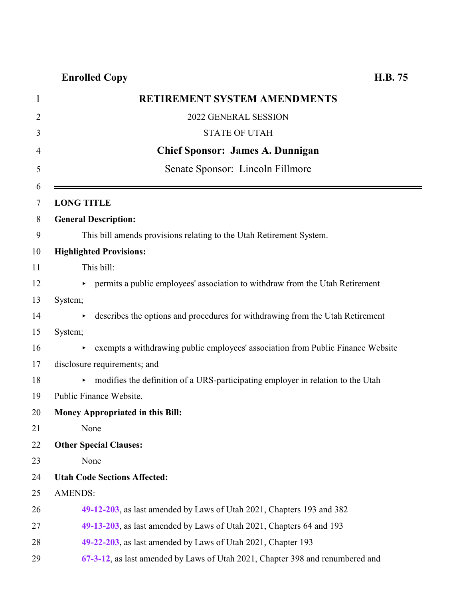| RETIREMENT SYSTEM AMENDMENTS                                                       |
|------------------------------------------------------------------------------------|
| 2022 GENERAL SESSION                                                               |
| <b>STATE OF UTAH</b>                                                               |
| <b>Chief Sponsor: James A. Dunnigan</b>                                            |
| Senate Sponsor: Lincoln Fillmore                                                   |
|                                                                                    |
| <b>LONG TITLE</b>                                                                  |
| <b>General Description:</b>                                                        |
| This bill amends provisions relating to the Utah Retirement System.                |
| <b>Highlighted Provisions:</b>                                                     |
| This bill:                                                                         |
| permits a public employees' association to withdraw from the Utah Retirement       |
| System;                                                                            |
| describes the options and procedures for withdrawing from the Utah Retirement<br>٠ |
| System;                                                                            |
| exempts a withdrawing public employees' association from Public Finance Website    |
| disclosure requirements; and                                                       |
| modifies the definition of a URS-participating employer in relation to the Utah    |
| Public Finance Website.                                                            |
| <b>Money Appropriated in this Bill:</b>                                            |
| None                                                                               |
| <b>Other Special Clauses:</b>                                                      |
| None                                                                               |
| <b>Utah Code Sections Affected:</b>                                                |
| <b>AMENDS:</b>                                                                     |
| 49-12-203, as last amended by Laws of Utah 2021, Chapters 193 and 382              |
| 49-13-203, as last amended by Laws of Utah 2021, Chapters 64 and 193               |
| 49-22-203, as last amended by Laws of Utah 2021, Chapter 193                       |
| 67-3-12, as last amended by Laws of Utah 2021, Chapter 398 and renumbered and      |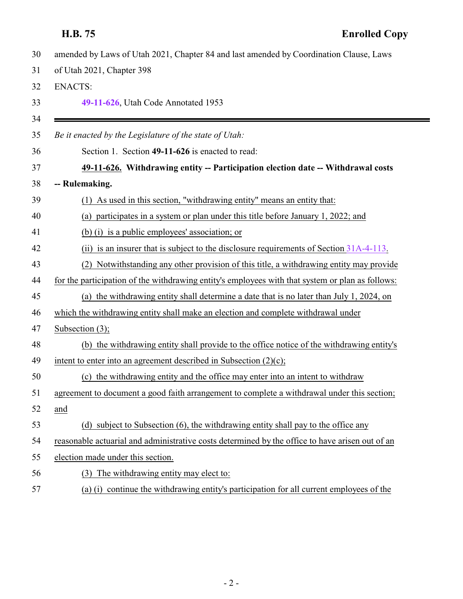<span id="page-1-0"></span>

| 30 | amended by Laws of Utah 2021, Chapter 84 and last amended by Coordination Clause, Laws           |
|----|--------------------------------------------------------------------------------------------------|
| 31 | of Utah 2021, Chapter 398                                                                        |
| 32 | <b>ENACTS:</b>                                                                                   |
| 33 | 49-11-626, Utah Code Annotated 1953                                                              |
| 34 |                                                                                                  |
| 35 | Be it enacted by the Legislature of the state of Utah:                                           |
| 36 | Section 1. Section 49-11-626 is enacted to read:                                                 |
| 37 | 49-11-626. Withdrawing entity -- Participation election date -- Withdrawal costs                 |
| 38 | -- Rulemaking.                                                                                   |
| 39 | As used in this section, "withdrawing entity" means an entity that:<br>(1)                       |
| 40 | participates in a system or plan under this title before January 1, 2022; and<br>(a)             |
| 41 | (b) (i) is a public employees' association; or                                                   |
| 42 | (ii) is an insurer that is subject to the disclosure requirements of Section $31A-4-113$ .       |
| 43 | (2) Notwithstanding any other provision of this title, a withdrawing entity may provide          |
| 44 | for the participation of the withdrawing entity's employees with that system or plan as follows: |
| 45 | (a) the withdrawing entity shall determine a date that is no later than July 1, 2024, on         |
| 46 | which the withdrawing entity shall make an election and complete withdrawal under                |
| 47 | Subsection $(3)$ ;                                                                               |
| 48 | (b) the withdrawing entity shall provide to the office notice of the withdrawing entity's        |
| 49 | intent to enter into an agreement described in Subsection $(2)(c)$ ;                             |
| 50 | (c) the withdrawing entity and the office may enter into an intent to withdraw                   |
| 51 | agreement to document a good faith arrangement to complete a withdrawal under this section;      |
| 52 | and                                                                                              |
| 53 | (d) subject to Subsection (6), the withdrawing entity shall pay to the office any                |
| 54 | reasonable actuarial and administrative costs determined by the office to have arisen out of an  |
| 55 | election made under this section.                                                                |
| 56 | (3) The withdrawing entity may elect to:                                                         |
| 57 | (a) (i) continue the withdrawing entity's participation for all current employees of the         |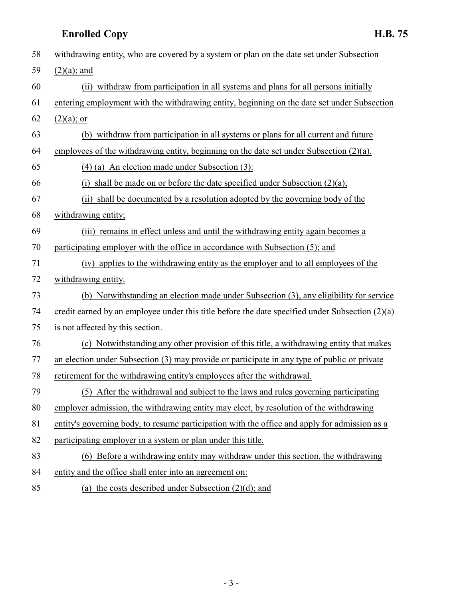| 58                | withdrawing entity, who are covered by a system or plan on the date set under Subsection          |
|-------------------|---------------------------------------------------------------------------------------------------|
| 59                | $(2)(a)$ ; and                                                                                    |
| 60                | (ii) withdraw from participation in all systems and plans for all persons initially               |
| 61                | entering employment with the withdrawing entity, beginning on the date set under Subsection       |
| 62                | $(2)(a)$ ; or                                                                                     |
| 63                | (b) withdraw from participation in all systems or plans for all current and future                |
| 64                | employees of the withdrawing entity, beginning on the date set under Subsection (2)(a).           |
| 65                | $(4)$ (a) An election made under Subsection (3):                                                  |
| 66                | shall be made on or before the date specified under Subsection $(2)(a)$ ;<br>(i)                  |
| 67                | (ii) shall be documented by a resolution adopted by the governing body of the                     |
| 68                | withdrawing entity;                                                                               |
| 69                | (iii) remains in effect unless and until the withdrawing entity again becomes a                   |
| 70                | participating employer with the office in accordance with Subsection (5); and                     |
| 71                | (iv) applies to the withdrawing entity as the employer and to all employees of the                |
| 72                | withdrawing entity.                                                                               |
| 73                | (b) Notwithstanding an election made under Subsection (3), any eligibility for service            |
| 74                | credit earned by an employee under this title before the date specified under Subsection $(2)(a)$ |
| 75                | is not affected by this section.                                                                  |
| 76                | (c) Notwithstanding any other provision of this title, a withdrawing entity that makes            |
| 77                | an election under Subsection (3) may provide or participate in any type of public or private      |
| 78                | retirement for the withdrawing entity's employees after the withdrawal.                           |
| 79                | (5) After the withdrawal and subject to the laws and rules governing participating                |
| 80                | employer admission, the withdrawing entity may elect, by resolution of the withdrawing            |
| 81                | entity's governing body, to resume participation with the office and apply for admission as a     |
| 82                | participating employer in a system or plan under this title.                                      |
| 83                | (6) Before a withdrawing entity may withdraw under this section, the withdrawing                  |
| 84                | entity and the office shall enter into an agreement on:                                           |
| $\Omega$ $\Gamma$ |                                                                                                   |

85 (a) the costs described under Subsection  $(2)(d)$ ; and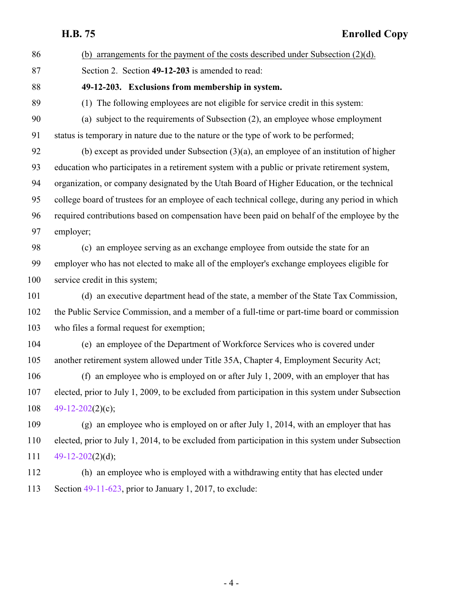<span id="page-3-0"></span>

| 86  | (b) arrangements for the payment of the costs described under Subsection $(2)(d)$ .               |
|-----|---------------------------------------------------------------------------------------------------|
| 87  | Section 2. Section 49-12-203 is amended to read:                                                  |
| 88  | 49-12-203. Exclusions from membership in system.                                                  |
| 89  | (1) The following employees are not eligible for service credit in this system:                   |
| 90  | (a) subject to the requirements of Subsection (2), an employee whose employment                   |
| 91  | status is temporary in nature due to the nature or the type of work to be performed;              |
| 92  | (b) except as provided under Subsection $(3)(a)$ , an employee of an institution of higher        |
| 93  | education who participates in a retirement system with a public or private retirement system,     |
| 94  | organization, or company designated by the Utah Board of Higher Education, or the technical       |
| 95  | college board of trustees for an employee of each technical college, during any period in which   |
| 96  | required contributions based on compensation have been paid on behalf of the employee by the      |
| 97  | employer;                                                                                         |
| 98  | (c) an employee serving as an exchange employee from outside the state for an                     |
| 99  | employer who has not elected to make all of the employer's exchange employees eligible for        |
| 100 | service credit in this system;                                                                    |
| 101 | (d) an executive department head of the state, a member of the State Tax Commission,              |
| 102 | the Public Service Commission, and a member of a full-time or part-time board or commission       |
| 103 | who files a formal request for exemption;                                                         |
| 104 | (e) an employee of the Department of Workforce Services who is covered under                      |
| 105 | another retirement system allowed under Title 35A, Chapter 4, Employment Security Act;            |
| 106 | (f) an employee who is employed on or after July 1, 2009, with an employer that has               |
| 107 | elected, prior to July 1, 2009, to be excluded from participation in this system under Subsection |
| 108 | 49-12-202(2)(c);                                                                                  |
| 109 | (g) an employee who is employed on or after July 1, 2014, with an employer that has               |
| 110 | elected, prior to July 1, 2014, to be excluded from participation in this system under Subsection |
| 111 | 49-12-202(2)(d);                                                                                  |
| 112 | (h) an employee who is employed with a withdrawing entity that has elected under                  |
| 113 | Section $49-11-623$ , prior to January 1, 2017, to exclude:                                       |
|     |                                                                                                   |
|     |                                                                                                   |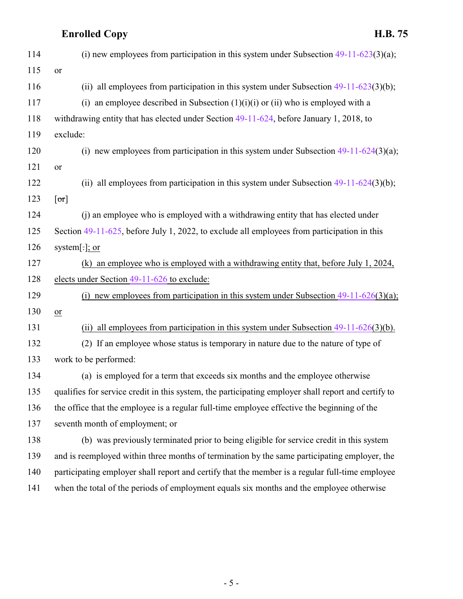| 114 | (i) new employees from participation in this system under Subsection $49-11-623(3)(a)$ ;            |
|-----|-----------------------------------------------------------------------------------------------------|
| 115 | or                                                                                                  |
| 116 | (ii) all employees from participation in this system under Subsection $49-11-623(3)(b)$ ;           |
| 117 | (i) an employee described in Subsection $(1)(i)(i)$ or $(ii)$ who is employed with a                |
| 118 | withdrawing entity that has elected under Section 49-11-624, before January 1, 2018, to             |
| 119 | exclude:                                                                                            |
| 120 | (i) new employees from participation in this system under Subsection $49-11-624(3)(a)$ ;            |
| 121 | or                                                                                                  |
| 122 | (ii) all employees from participation in this system under Subsection $49-11-624(3)(b)$ ;           |
| 123 | [or]                                                                                                |
| 124 | (i) an employee who is employed with a withdrawing entity that has elected under                    |
| 125 | Section 49-11-625, before July 1, 2022, to exclude all employees from participation in this         |
| 126 | system[ $:$ ]; or                                                                                   |
| 127 | (k) an employee who is employed with a withdrawing entity that, before July 1, 2024,                |
| 128 | elects under Section 49-11-626 to exclude:                                                          |
| 129 | (i) new employees from participation in this system under Subsection $49-11-626(3)(a)$ ;            |
| 130 | or                                                                                                  |
| 131 | (ii) all employees from participation in this system under Subsection $49-11-626(3)(b)$ .           |
| 132 | (2) If an employee whose status is temporary in nature due to the nature of type of                 |
| 133 | work to be performed:                                                                               |
| 134 | (a) is employed for a term that exceeds six months and the employee otherwise                       |
| 135 | qualifies for service credit in this system, the participating employer shall report and certify to |
| 136 | the office that the employee is a regular full-time employee effective the beginning of the         |
| 137 | seventh month of employment; or                                                                     |
| 138 | (b) was previously terminated prior to being eligible for service credit in this system             |
| 139 | and is reemployed within three months of termination by the same participating employer, the        |
| 140 | participating employer shall report and certify that the member is a regular full-time employee     |
| 141 | when the total of the periods of employment equals six months and the employee otherwise            |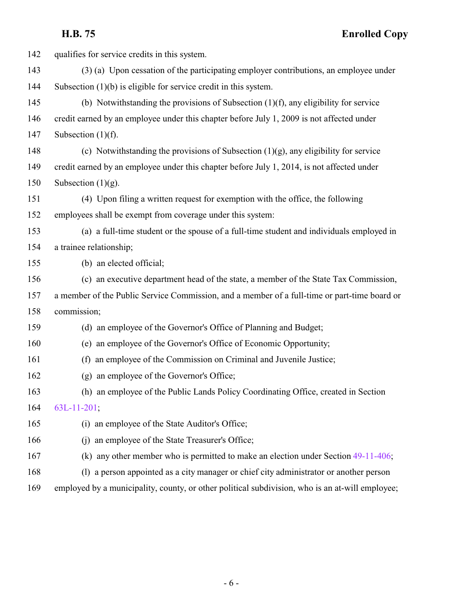| 142 | qualifies for service credits in this system.                                                   |
|-----|-------------------------------------------------------------------------------------------------|
| 143 | (3) (a) Upon cessation of the participating employer contributions, an employee under           |
| 144 | Subsection $(1)(b)$ is eligible for service credit in this system.                              |
| 145 | (b) Notwithstanding the provisions of Subsection $(1)(f)$ , any eligibility for service         |
| 146 | credit earned by an employee under this chapter before July 1, 2009 is not affected under       |
| 147 | Subsection $(1)(f)$ .                                                                           |
| 148 | (c) Notwithstanding the provisions of Subsection $(1)(g)$ , any eligibility for service         |
| 149 | credit earned by an employee under this chapter before July 1, 2014, is not affected under      |
| 150 | Subsection $(1)(g)$ .                                                                           |
| 151 | (4) Upon filing a written request for exemption with the office, the following                  |
| 152 | employees shall be exempt from coverage under this system:                                      |
| 153 | (a) a full-time student or the spouse of a full-time student and individuals employed in        |
| 154 | a trainee relationship;                                                                         |
| 155 | (b) an elected official;                                                                        |
| 156 | (c) an executive department head of the state, a member of the State Tax Commission,            |
| 157 | a member of the Public Service Commission, and a member of a full-time or part-time board or    |
| 158 | commission;                                                                                     |
| 159 | (d) an employee of the Governor's Office of Planning and Budget;                                |
| 160 | (e) an employee of the Governor's Office of Economic Opportunity;                               |
| 161 | an employee of the Commission on Criminal and Juvenile Justice;<br>(f)                          |
| 162 | (g) an employee of the Governor's Office;                                                       |
| 163 | (h) an employee of the Public Lands Policy Coordinating Office, created in Section              |
| 164 | 63L-11-201;                                                                                     |
| 165 | (i) an employee of the State Auditor's Office;                                                  |
| 166 | an employee of the State Treasurer's Office;<br>(i)                                             |
| 167 | (k) any other member who is permitted to make an election under Section $49-11-406$ ;           |
| 168 | (1) a person appointed as a city manager or chief city administrator or another person          |
| 169 | employed by a municipality, county, or other political subdivision, who is an at-will employee; |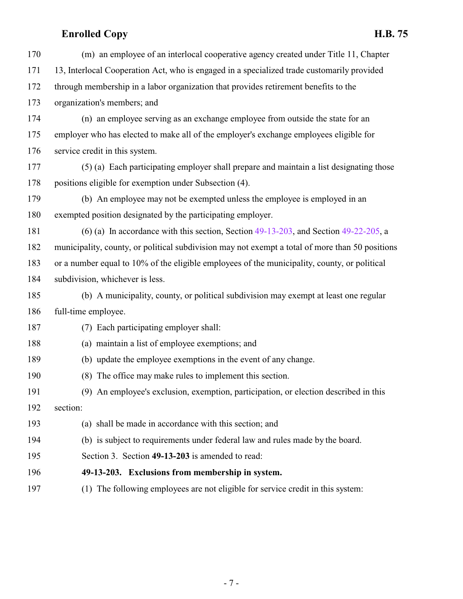<span id="page-6-0"></span>

| 170 | (m) an employee of an interlocal cooperative agency created under Title 11, Chapter             |
|-----|-------------------------------------------------------------------------------------------------|
| 171 | 13, Interlocal Cooperation Act, who is engaged in a specialized trade customarily provided      |
| 172 | through membership in a labor organization that provides retirement benefits to the             |
| 173 | organization's members; and                                                                     |
| 174 | (n) an employee serving as an exchange employee from outside the state for an                   |
| 175 | employer who has elected to make all of the employer's exchange employees eligible for          |
| 176 | service credit in this system.                                                                  |
| 177 | (5) (a) Each participating employer shall prepare and maintain a list designating those         |
| 178 | positions eligible for exemption under Subsection (4).                                          |
| 179 | (b) An employee may not be exempted unless the employee is employed in an                       |
| 180 | exempted position designated by the participating employer.                                     |
| 181 | (6) (a) In accordance with this section, Section $49-13-203$ , and Section $49-22-205$ , a      |
| 182 | municipality, county, or political subdivision may not exempt a total of more than 50 positions |
| 183 | or a number equal to 10% of the eligible employees of the municipality, county, or political    |
| 184 | subdivision, whichever is less.                                                                 |
| 185 | (b) A municipality, county, or political subdivision may exempt at least one regular            |
| 186 | full-time employee.                                                                             |
| 187 | (7) Each participating employer shall:                                                          |
| 188 | (a) maintain a list of employee exemptions; and                                                 |
| 189 | (b) update the employee exemptions in the event of any change.                                  |
| 190 | (8) The office may make rules to implement this section.                                        |
| 191 | (9) An employee's exclusion, exemption, participation, or election described in this            |
| 192 | section:                                                                                        |
| 193 | (a) shall be made in accordance with this section; and                                          |
| 194 | (b) is subject to requirements under federal law and rules made by the board.                   |
| 195 | Section 3. Section 49-13-203 is amended to read:                                                |
| 196 | 49-13-203. Exclusions from membership in system.                                                |
| 197 | The following employees are not eligible for service credit in this system:<br>(1)              |
|     |                                                                                                 |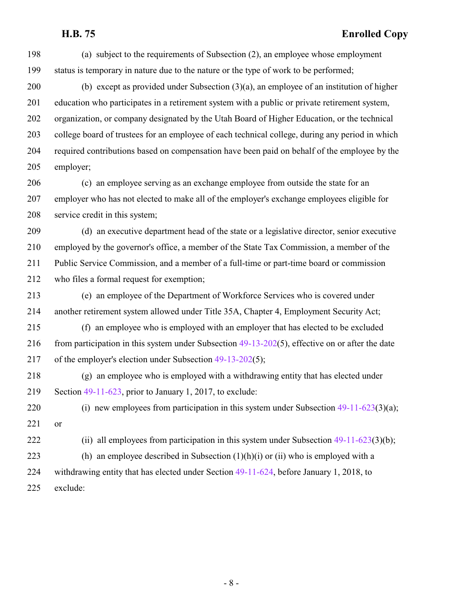(a) subject to the requirements of Subsection (2), an employee whose employment status is temporary in nature due to the nature or the type of work to be performed;

 (b) except as provided under Subsection (3)(a), an employee of an institution of higher education who participates in a retirement system with a public or private retirement system, organization, or company designated by the Utah Board of Higher Education, or the technical college board of trustees for an employee of each technical college, during any period in which required contributions based on compensation have been paid on behalf of the employee by the employer;

 (c) an employee serving as an exchange employee from outside the state for an employer who has not elected to make all of the employer's exchange employees eligible for service credit in this system;

 (d) an executive department head of the state or a legislative director, senior executive employed by the governor's office, a member of the State Tax Commission, a member of the Public Service Commission, and a member of a full-time or part-time board or commission who files a formal request for exemption;

 (e) an employee of the Department of Workforce Services who is covered under another retirement system allowed under Title 35A, Chapter 4, Employment Security Act;

 (f) an employee who is employed with an employer that has elected to be excluded 216 from participation in this system under Subsection [49-13-202](http://le.utah.gov/UtahCode/SectionLookup.jsp?section=49-13-202&session=2022GS)(5), effective on or after the date of the employer's election under Subsection [49-13-202](http://le.utah.gov/UtahCode/SectionLookup.jsp?section=49-13-202&session=2022GS)(5);

 (g) an employee who is employed with a withdrawing entity that has elected under Section [49-11-623](http://le.utah.gov/UtahCode/SectionLookup.jsp?section=49-11-623&session=2022GS), prior to January 1, 2017, to exclude:

220 (i) new employees from participation in this system under Subsection [49-11-623](http://le.utah.gov/UtahCode/SectionLookup.jsp?section=49-11-623&session=2022GS)(3)(a); or

222 (ii) all employees from participation in this system under Subsection [49-11-623](http://le.utah.gov/UtahCode/SectionLookup.jsp?section=49-11-623&session=2022GS)(3)(b);

 (h) an employee described in Subsection (1)(h)(i) or (ii) who is employed with a withdrawing entity that has elected under Section [49-11-624](http://le.utah.gov/UtahCode/SectionLookup.jsp?section=49-11-624&session=2022GS), before January 1, 2018, to exclude: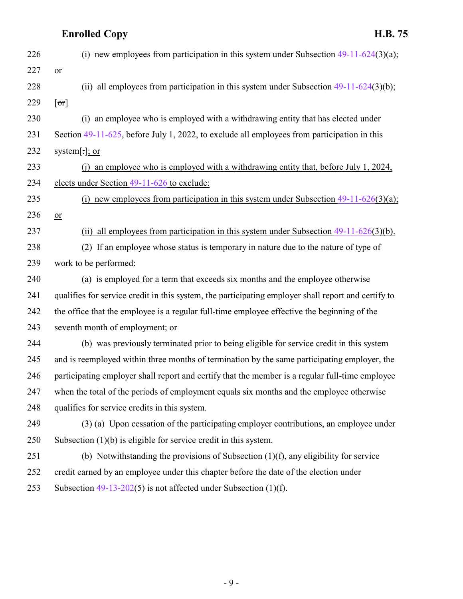| 226 | (i) new employees from participation in this system under Subsection $49-11-624(3)(a)$ ;            |
|-----|-----------------------------------------------------------------------------------------------------|
| 227 | <b>or</b>                                                                                           |
| 228 | (ii) all employees from participation in this system under Subsection $49-11-624(3)(b)$ ;           |
| 229 | [or]                                                                                                |
| 230 | (i) an employee who is employed with a withdrawing entity that has elected under                    |
| 231 | Section 49-11-625, before July 1, 2022, to exclude all employees from participation in this         |
| 232 | system[ $\cdot$ ]; or                                                                               |
| 233 | (j) an employee who is employed with a withdrawing entity that, before July 1, 2024,                |
| 234 | elects under Section $49-11-626$ to exclude:                                                        |
| 235 | (i) new employees from participation in this system under Subsection $49-11-626(3)(a)$ ;            |
| 236 | $or$                                                                                                |
| 237 | all employees from participation in this system under Subsection $49-11-626(3)(b)$ .<br>(ii)        |
| 238 | (2) If an employee whose status is temporary in nature due to the nature of type of                 |
| 239 | work to be performed:                                                                               |
| 240 | (a) is employed for a term that exceeds six months and the employee otherwise                       |
| 241 | qualifies for service credit in this system, the participating employer shall report and certify to |
| 242 | the office that the employee is a regular full-time employee effective the beginning of the         |
| 243 | seventh month of employment; or                                                                     |
| 244 | (b) was previously terminated prior to being eligible for service credit in this system             |
| 245 | and is reemployed within three months of termination by the same participating employer, the        |
| 246 | participating employer shall report and certify that the member is a regular full-time employee     |
| 247 | when the total of the periods of employment equals six months and the employee otherwise            |
| 248 | qualifies for service credits in this system.                                                       |
| 249 | (3) (a) Upon cessation of the participating employer contributions, an employee under               |
| 250 | Subsection $(1)(b)$ is eligible for service credit in this system.                                  |
| 251 | (b) Notwithstanding the provisions of Subsection $(1)(f)$ , any eligibility for service             |
| 252 | credit earned by an employee under this chapter before the date of the election under               |
| 253 | Subsection $49-13-202(5)$ is not affected under Subsection (1)(f).                                  |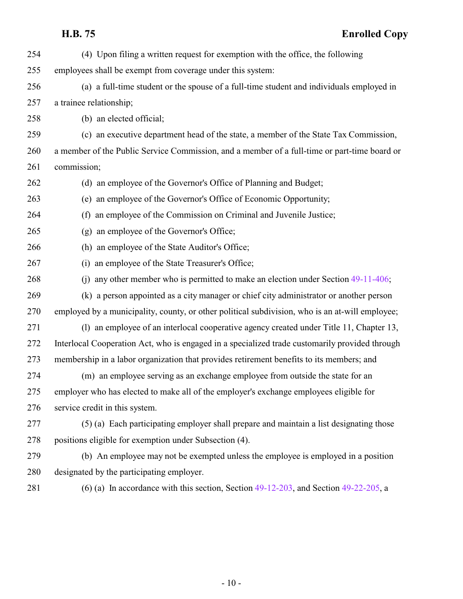| 254 | (4) Upon filing a written request for exemption with the office, the following                  |
|-----|-------------------------------------------------------------------------------------------------|
| 255 | employees shall be exempt from coverage under this system:                                      |
| 256 | (a) a full-time student or the spouse of a full-time student and individuals employed in        |
| 257 | a trainee relationship;                                                                         |
| 258 | (b) an elected official;                                                                        |
| 259 | (c) an executive department head of the state, a member of the State Tax Commission,            |
| 260 | a member of the Public Service Commission, and a member of a full-time or part-time board or    |
| 261 | commission;                                                                                     |
| 262 | (d) an employee of the Governor's Office of Planning and Budget;                                |
| 263 | (e) an employee of the Governor's Office of Economic Opportunity;                               |
| 264 | an employee of the Commission on Criminal and Juvenile Justice;<br>(f)                          |
| 265 | (g) an employee of the Governor's Office;                                                       |
| 266 | (h) an employee of the State Auditor's Office;                                                  |
| 267 | (i) an employee of the State Treasurer's Office;                                                |
| 268 | any other member who is permitted to make an election under Section 49-11-406;<br>(i)           |
| 269 | (k) a person appointed as a city manager or chief city administrator or another person          |
| 270 | employed by a municipality, county, or other political subdivision, who is an at-will employee; |
| 271 | (1) an employee of an interlocal cooperative agency created under Title 11, Chapter 13,         |
| 272 | Interlocal Cooperation Act, who is engaged in a specialized trade customarily provided through  |
| 273 | membership in a labor organization that provides retirement benefits to its members; and        |
| 274 | (m) an employee serving as an exchange employee from outside the state for an                   |
| 275 | employer who has elected to make all of the employer's exchange employees eligible for          |
| 276 | service credit in this system.                                                                  |
| 277 | (5) (a) Each participating employer shall prepare and maintain a list designating those         |
| 278 | positions eligible for exemption under Subsection (4).                                          |
| 279 | (b) An employee may not be exempted unless the employee is employed in a position               |
| 280 | designated by the participating employer.                                                       |
| 281 | (6) (a) In accordance with this section, Section $49-12-203$ , and Section $49-22-205$ , a      |

 $-10-$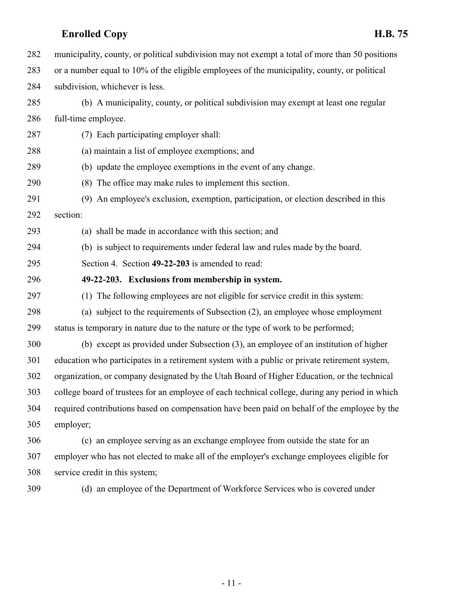<span id="page-10-0"></span>

| 282 | municipality, county, or political subdivision may not exempt a total of more than 50 positions |
|-----|-------------------------------------------------------------------------------------------------|
| 283 | or a number equal to 10% of the eligible employees of the municipality, county, or political    |
| 284 | subdivision, whichever is less.                                                                 |
| 285 | (b) A municipality, county, or political subdivision may exempt at least one regular            |
| 286 | full-time employee.                                                                             |
| 287 | (7) Each participating employer shall:                                                          |
| 288 | (a) maintain a list of employee exemptions; and                                                 |
| 289 | (b) update the employee exemptions in the event of any change.                                  |
| 290 | (8) The office may make rules to implement this section.                                        |
| 291 | (9) An employee's exclusion, exemption, participation, or election described in this            |
| 292 | section:                                                                                        |
| 293 | (a) shall be made in accordance with this section; and                                          |
| 294 | (b) is subject to requirements under federal law and rules made by the board.                   |
| 295 | Section 4. Section 49-22-203 is amended to read:                                                |
| 296 | 49-22-203. Exclusions from membership in system.                                                |
| 297 | (1) The following employees are not eligible for service credit in this system:                 |
| 298 | (a) subject to the requirements of Subsection (2), an employee whose employment                 |
| 299 | status is temporary in nature due to the nature or the type of work to be performed;            |
|     |                                                                                                 |
| 300 | (b) except as provided under Subsection (3), an employee of an institution of higher            |
| 301 | education who participates in a retirement system with a public or private retirement system,   |
| 302 | organization, or company designated by the Utah Board of Higher Education, or the technical     |
| 303 | college board of trustees for an employee of each technical college, during any period in which |
| 304 | required contributions based on compensation have been paid on behalf of the employee by the    |
| 305 | employer;                                                                                       |
| 306 | (c) an employee serving as an exchange employee from outside the state for an                   |
| 307 | employer who has not elected to make all of the employer's exchange employees eligible for      |
| 308 | service credit in this system;                                                                  |

(d) an employee of the Department of Workforce Services who is covered under

- 11 -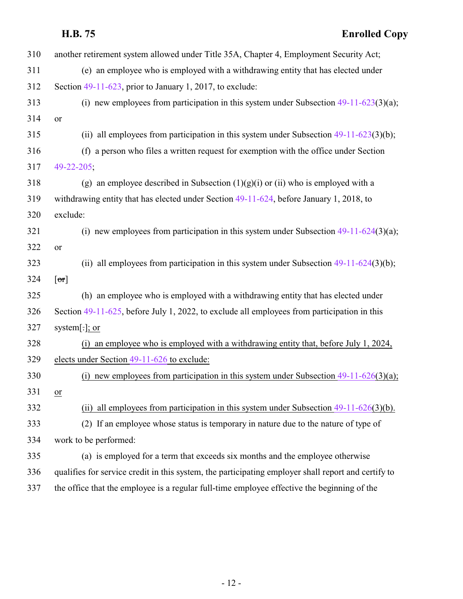| 310 | another retirement system allowed under Title 35A, Chapter 4, Employment Security Act;              |
|-----|-----------------------------------------------------------------------------------------------------|
| 311 | (e) an employee who is employed with a withdrawing entity that has elected under                    |
| 312 | Section $49-11-623$ , prior to January 1, 2017, to exclude:                                         |
| 313 | (i) new employees from participation in this system under Subsection $49-11-623(3)(a)$ ;            |
| 314 | or                                                                                                  |
| 315 | (ii) all employees from participation in this system under Subsection $49-11-623(3)(b)$ ;           |
| 316 | (f) a person who files a written request for exemption with the office under Section                |
| 317 | 49-22-205;                                                                                          |
| 318 | (g) an employee described in Subsection $(1)(g)(i)$ or (ii) who is employed with a                  |
| 319 | withdrawing entity that has elected under Section 49-11-624, before January 1, 2018, to             |
| 320 | exclude:                                                                                            |
| 321 | (i) new employees from participation in this system under Subsection $49-11-624(3)(a)$ ;            |
| 322 | or                                                                                                  |
| 323 | (ii) all employees from participation in this system under Subsection $49-11-624(3)(b)$ ;           |
| 324 | [or]                                                                                                |
| 325 | (h) an employee who is employed with a withdrawing entity that has elected under                    |
| 326 | Section 49-11-625, before July 1, 2022, to exclude all employees from participation in this         |
| 327 | system[ $\cdot$ ]; or                                                                               |
| 328 | an employee who is employed with a withdrawing entity that, before July 1, 2024,<br>(i)             |
| 329 | elects under Section 49-11-626 to exclude:                                                          |
| 330 | new employees from participation in this system under Subsection $49-11-626(3)(a)$ ;                |
| 331 | <sub>or</sub>                                                                                       |
| 332 | all employees from participation in this system under Subsection $49-11-626(3)(b)$ .<br>(i)         |
| 333 | (2) If an employee whose status is temporary in nature due to the nature of type of                 |
| 334 | work to be performed:                                                                               |
| 335 | (a) is employed for a term that exceeds six months and the employee otherwise                       |
| 336 | qualifies for service credit in this system, the participating employer shall report and certify to |
| 337 | the office that the employee is a regular full-time employee effective the beginning of the         |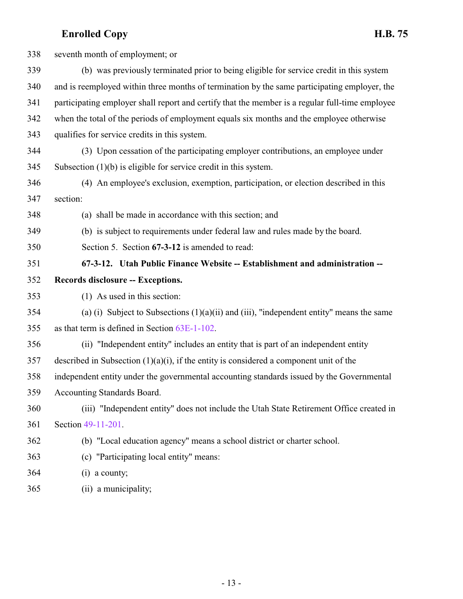<span id="page-12-0"></span>

| 338 | seventh month of employment; or                                                                 |
|-----|-------------------------------------------------------------------------------------------------|
| 339 | (b) was previously terminated prior to being eligible for service credit in this system         |
| 340 | and is reemployed within three months of termination by the same participating employer, the    |
| 341 | participating employer shall report and certify that the member is a regular full-time employee |
| 342 | when the total of the periods of employment equals six months and the employee otherwise        |
| 343 | qualifies for service credits in this system.                                                   |
| 344 | (3) Upon cessation of the participating employer contributions, an employee under               |
| 345 | Subsection $(1)(b)$ is eligible for service credit in this system.                              |
| 346 | (4) An employee's exclusion, exemption, participation, or election described in this            |
| 347 | section:                                                                                        |
| 348 | (a) shall be made in accordance with this section; and                                          |
| 349 | (b) is subject to requirements under federal law and rules made by the board.                   |
| 350 | Section 5. Section 67-3-12 is amended to read:                                                  |
| 351 | 67-3-12. Utah Public Finance Website -- Establishment and administration --                     |
| 352 | Records disclosure -- Exceptions.                                                               |
| 353 | (1) As used in this section:                                                                    |
| 354 | (a) (i) Subject to Subsections $(1)(a)(ii)$ and (iii), "independent entity" means the same      |
| 355 | as that term is defined in Section 63E-1-102.                                                   |
| 356 | (ii) "Independent entity" includes an entity that is part of an independent entity              |
| 357 | described in Subsection $(1)(a)(i)$ , if the entity is considered a component unit of the       |
| 358 | independent entity under the governmental accounting standards issued by the Governmental       |
| 359 | Accounting Standards Board.                                                                     |
| 360 | (iii) "Independent entity" does not include the Utah State Retirement Office created in         |
| 361 | Section 49-11-201.                                                                              |
| 362 | (b) "Local education agency" means a school district or charter school.                         |
| 363 | (c) "Participating local entity" means:                                                         |
| 364 | $(i)$ a county;                                                                                 |
|     |                                                                                                 |

(ii) a municipality;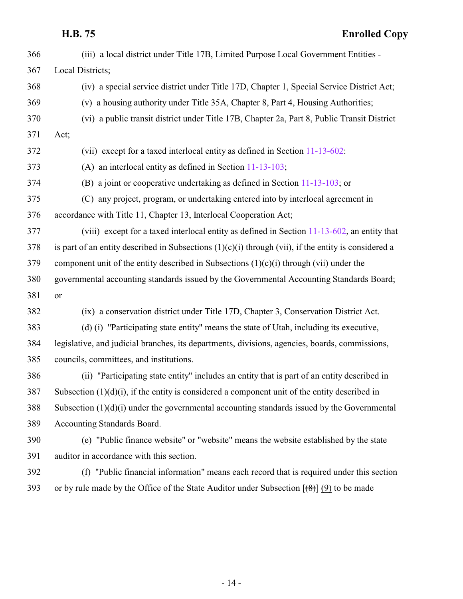| 366 | (iii) a local district under Title 17B, Limited Purpose Local Government Entities -                    |
|-----|--------------------------------------------------------------------------------------------------------|
| 367 | Local Districts;                                                                                       |
| 368 | (iv) a special service district under Title 17D, Chapter 1, Special Service District Act;              |
| 369 | (v) a housing authority under Title 35A, Chapter 8, Part 4, Housing Authorities;                       |
| 370 | (vi) a public transit district under Title 17B, Chapter 2a, Part 8, Public Transit District            |
| 371 | Act;                                                                                                   |
| 372 | (vii) except for a taxed interlocal entity as defined in Section 11-13-602:                            |
| 373 | (A) an interlocal entity as defined in Section $11-13-103$ ;                                           |
| 374 | (B) a joint or cooperative undertaking as defined in Section $11-13-103$ ; or                          |
| 375 | (C) any project, program, or undertaking entered into by interlocal agreement in                       |
| 376 | accordance with Title 11, Chapter 13, Interlocal Cooperation Act;                                      |
| 377 | (viii) except for a taxed interlocal entity as defined in Section $11-13-602$ , an entity that         |
| 378 | is part of an entity described in Subsections $(1)(c)(i)$ through (vii), if the entity is considered a |
| 379 | component unit of the entity described in Subsections $(1)(c)(i)$ through (vii) under the              |
| 380 | governmental accounting standards issued by the Governmental Accounting Standards Board;               |
| 381 | or                                                                                                     |
| 382 | (ix) a conservation district under Title 17D, Chapter 3, Conservation District Act.                    |
| 383 | (d) (i) "Participating state entity" means the state of Utah, including its executive,                 |
| 384 | legislative, and judicial branches, its departments, divisions, agencies, boards, commissions,         |
| 385 | councils, committees, and institutions.                                                                |
| 386 | (ii) "Participating state entity" includes an entity that is part of an entity described in            |
| 387 | Subsection $(1)(d)(i)$ , if the entity is considered a component unit of the entity described in       |
| 388 | Subsection $(1)(d)(i)$ under the governmental accounting standards issued by the Governmental          |
| 389 | Accounting Standards Board.                                                                            |
| 390 | (e) "Public finance website" or "website" means the website established by the state                   |
| 391 | auditor in accordance with this section.                                                               |
| 392 | (f) "Public financial information" means each record that is required under this section               |

393 or by rule made by the Office of the State Auditor under Subsection  $[(8)] (9)$  to be made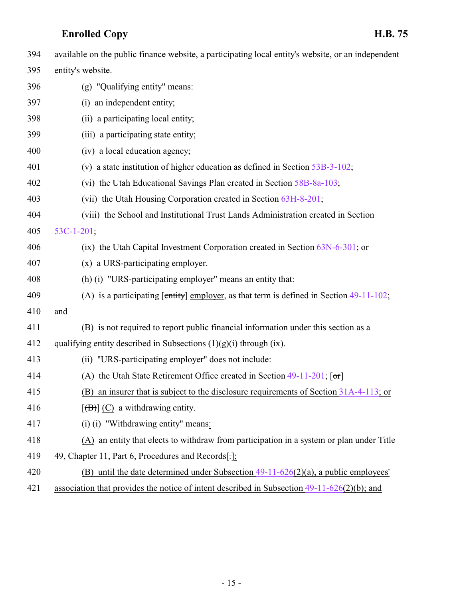| 394 | available on the public finance website, a participating local entity's website, or an independent |
|-----|----------------------------------------------------------------------------------------------------|
| 395 | entity's website.                                                                                  |
| 396 | (g) "Qualifying entity" means:                                                                     |
| 397 | (i) an independent entity;                                                                         |
| 398 | (ii) a participating local entity;                                                                 |
| 399 | (iii) a participating state entity;                                                                |
| 400 | (iv) a local education agency;                                                                     |
| 401 | (v) a state institution of higher education as defined in Section $53B-3-102$ ;                    |
| 402 | (vi) the Utah Educational Savings Plan created in Section 58B-8a-103;                              |
| 403 | (vii) the Utah Housing Corporation created in Section 63H-8-201;                                   |
| 404 | (viii) the School and Institutional Trust Lands Administration created in Section                  |
| 405 | $53C-1-201;$                                                                                       |
| 406 | (ix) the Utah Capital Investment Corporation created in Section $63N-6-301$ ; or                   |
| 407 | (x) a URS-participating employer.                                                                  |
| 408 | (h) (i) "URS-participating employer" means an entity that:                                         |
| 409 | (A) is a participating $[\text{entity}]$ employer, as that term is defined in Section 49-11-102;   |
| 410 | and                                                                                                |
| 411 | (B) is not required to report public financial information under this section as a                 |
| 412 | qualifying entity described in Subsections $(1)(g)(i)$ through $(ix)$ .                            |
| 413 | (ii) "URS-participating employer" does not include:                                                |
| 414 | (A) the Utah State Retirement Office created in Section 49-11-201; [or]                            |
| 415 | (B) an insurer that is subject to the disclosure requirements of Section 31A-4-113; or             |
| 416 | $[\langle B \rangle]$ (C) a withdrawing entity.                                                    |
| 417 | (i) (i) "Withdrawing entity" means:                                                                |
| 418 | (A) an entity that elects to withdraw from participation in a system or plan under Title           |
| 419 | 49, Chapter 11, Part 6, Procedures and Records[-];                                                 |
| 420 | (B) until the date determined under Subsection $49-11-626(2)(a)$ , a public employees'             |
| 421 | association that provides the notice of intent described in Subsection $49-11-626(2)(b)$ ; and     |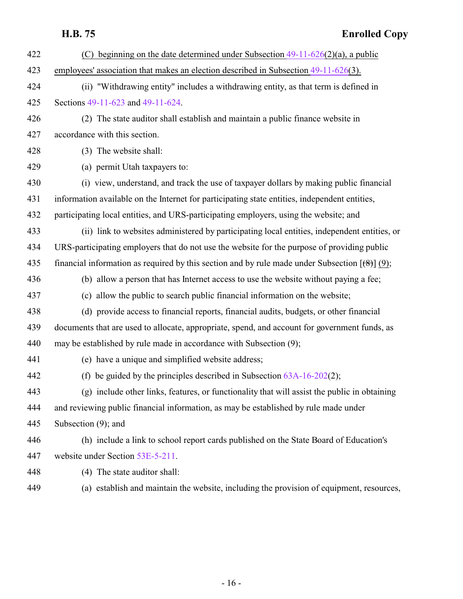| 422 | beginning on the date determined under Subsection $49-11-626(2)(a)$ , a public<br>(C)                    |
|-----|----------------------------------------------------------------------------------------------------------|
| 423 | employees' association that makes an election described in Subsection 49-11-626(3).                      |
| 424 | (ii) "Withdrawing entity" includes a withdrawing entity, as that term is defined in                      |
| 425 | Sections 49-11-623 and 49-11-624.                                                                        |
| 426 | (2) The state auditor shall establish and maintain a public finance website in                           |
| 427 | accordance with this section.                                                                            |
| 428 | (3) The website shall:                                                                                   |
| 429 | (a) permit Utah taxpayers to:                                                                            |
| 430 | (i) view, understand, and track the use of taxpayer dollars by making public financial                   |
| 431 | information available on the Internet for participating state entities, independent entities,            |
| 432 | participating local entities, and URS-participating employers, using the website; and                    |
| 433 | (ii) link to websites administered by participating local entities, independent entities, or             |
| 434 | URS-participating employers that do not use the website for the purpose of providing public              |
| 435 | financial information as required by this section and by rule made under Subsection $[\frac{1}{2}]$ (9); |
| 436 | (b) allow a person that has Internet access to use the website without paying a fee;                     |
| 437 | (c) allow the public to search public financial information on the website;                              |
| 438 | (d) provide access to financial reports, financial audits, budgets, or other financial                   |
| 439 | documents that are used to allocate, appropriate, spend, and account for government funds, as            |
| 440 | may be established by rule made in accordance with Subsection (9);                                       |
| 441 | (e) have a unique and simplified website address;                                                        |
| 442 | (f) be guided by the principles described in Subsection $63A-16-202(2)$ ;                                |
| 443 | (g) include other links, features, or functionality that will assist the public in obtaining             |
| 444 | and reviewing public financial information, as may be established by rule made under                     |
| 445 | Subsection (9); and                                                                                      |
| 446 | (h) include a link to school report cards published on the State Board of Education's                    |
| 447 | website under Section 53E-5-211.                                                                         |
| 448 | (4) The state auditor shall:                                                                             |
| 449 | (a) establish and maintain the website, including the provision of equipment, resources,                 |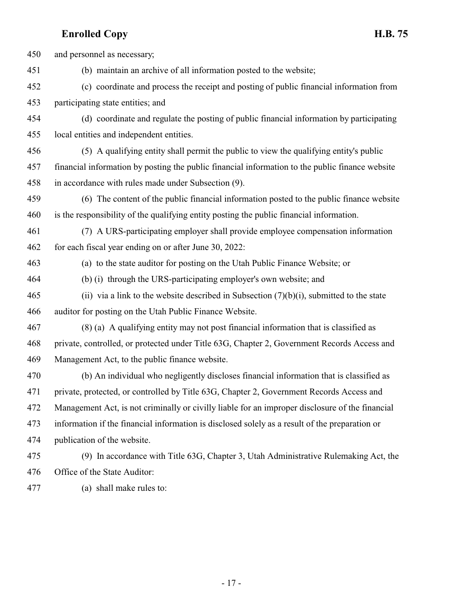| 450 | and personnel as necessary;                                                                     |
|-----|-------------------------------------------------------------------------------------------------|
| 451 | (b) maintain an archive of all information posted to the website;                               |
| 452 | (c) coordinate and process the receipt and posting of public financial information from         |
| 453 | participating state entities; and                                                               |
| 454 | (d) coordinate and regulate the posting of public financial information by participating        |
| 455 | local entities and independent entities.                                                        |
| 456 | (5) A qualifying entity shall permit the public to view the qualifying entity's public          |
| 457 | financial information by posting the public financial information to the public finance website |
| 458 | in accordance with rules made under Subsection (9).                                             |
| 459 | (6) The content of the public financial information posted to the public finance website        |
| 460 | is the responsibility of the qualifying entity posting the public financial information.        |
| 461 | (7) A URS-participating employer shall provide employee compensation information                |
| 462 | for each fiscal year ending on or after June 30, 2022:                                          |
| 463 | (a) to the state auditor for posting on the Utah Public Finance Website; or                     |
| 464 | (b) (i) through the URS-participating employer's own website; and                               |
| 465 | (ii) via a link to the website described in Subsection $(7)(b)(i)$ , submitted to the state     |
| 466 | auditor for posting on the Utah Public Finance Website.                                         |
| 467 | (8) (a) A qualifying entity may not post financial information that is classified as            |
| 468 | private, controlled, or protected under Title 63G, Chapter 2, Government Records Access and     |
| 469 | Management Act, to the public finance website.                                                  |
| 470 | (b) An individual who negligently discloses financial information that is classified as         |
| 471 | private, protected, or controlled by Title 63G, Chapter 2, Government Records Access and        |
| 472 | Management Act, is not criminally or civilly liable for an improper disclosure of the financial |
| 473 | information if the financial information is disclosed solely as a result of the preparation or  |
| 474 | publication of the website.                                                                     |
| 475 | (9) In accordance with Title 63G, Chapter 3, Utah Administrative Rulemaking Act, the            |
| 476 | Office of the State Auditor:                                                                    |

(a) shall make rules to: